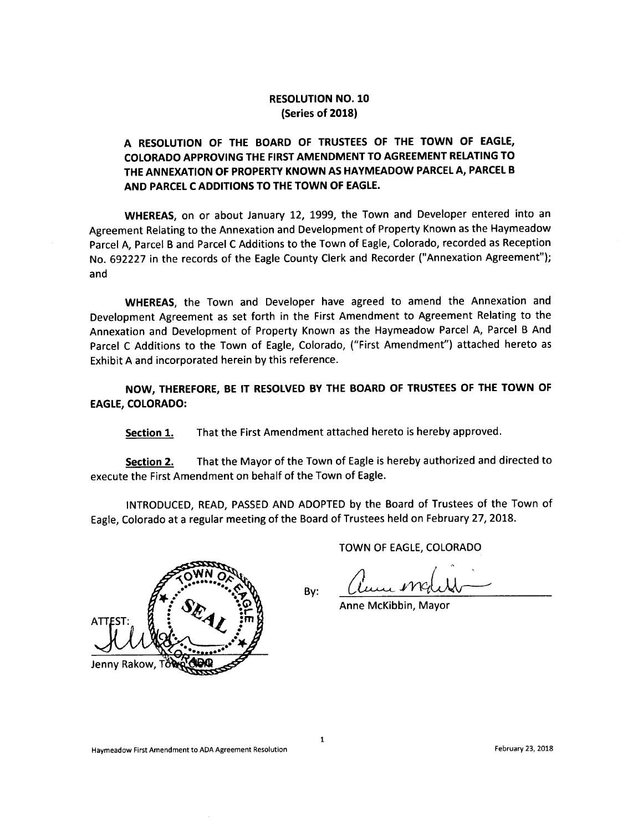## RESOLUTION NO. 10 Series of 2018)

## A RESOLUTION OF THE BOARD OF TRUSTEES OF THE TOWN OF EAGLE, COLORADO APPROVING THE FIRST AMENDMENT TO AGREEMENT RELATING TO THE ANNEXATION OF PROPERTY KNOWN AS HAYMEADOW PARCEL A, PARCEL B AND PARCEL C ADDITIONS TO THE TOWN OF EAGLE.

WHEREAS, on or about January 12, 1999, the Town and Developer entered into an Agreement Relating to the Annexation and Development of Property Known as the Haymeadow Parcel A, Parcel <sup>B</sup> and Parcel <sup>C</sup> Additions to the Town of Eagle, Colorado, recorded as Reception No. 692227 in the records of the Eagle County Clerk and Recorder (" Annexation Agreement"); and

WHEREAS, the Town and Developer have agreed to amend the Annexation and Development Agreement as set forth in the First Amendment to Agreement Relating to the Annexation and Development of Property Known as the Haymeadow Parcel A, Parcel <sup>B</sup> And Parcel C Additions to the Town of Eagle, Colorado, ("First Amendment") attached hereto as Exhibit A and incorporated herein by this reference.

NOW, THEREFORE, BE IT RESOLVED BY THE BOARD OF TRUSTEES OF THE TOWN OF EAGLE, COLORADO:

Section 1. That the First Amendment attached hereto is hereby approved.

Section 2. That the Mayor of the Town of Eagle is hereby authorized and directed to execute the First Amendment on behalf of the Town of Eagle.

INTRODUCED, READ, PASSED AND ADOPTED by the Board of Trustees of the Town of Eagle, Colorado at <sup>a</sup> regular meeting of the Board of Trustees held on February 27, 2018.

By:



TOWN OF EAGLE, COLORADO

Anne McKibbin, Mayor

1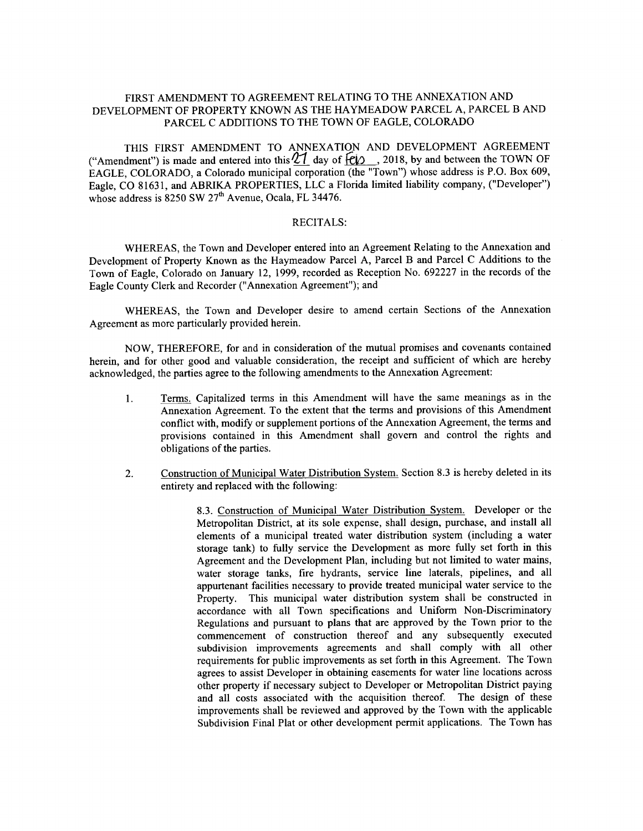### FIRST AMENDMENT TO AGREEMENT RELATING TO THE ANNEXATION AND DEVELOPMENT OF PROPERTY KNOWN AS THE HAYMEADOW PARCEL A, PARCEL B AND PARCEL C ADDITIONS TO THE TOWN OF EAGLE, COLORADO

THIS FIRST AMENDMENT TO ANNEXATION AND DEVELOPMENT AGREEMENT ("Amendment") is made and entered into this  $\mathcal{U}$  day of  $\epsilon$  , 2018, by and between the TOWN OF EAGLE, COLORADO, a Colorado municipal corporation (the "Town") whose address is P.O. Box 609, Eagle, CO 81631, and ABRIKA PROPERTIES, LLC <sup>a</sup> Florida limited liability company, (" Developer") whose address is  $8250$  SW  $27<sup>th</sup>$  Avenue, Ocala, FL 34476.

#### RECITALS:

WHEREAS, the Town and Developer entered into an Agreement Relating to the Annexation and Development of Property Known as the Haymeadow Parcel A, Parcel B and Parcel C Additions to the Town of Eagle, Colorado on January 12, 1999, recorded as Reception No. 692227 in the records of the Eagle County Clerk and Recorder (" Annexation Agreement"); and

WHEREAS, the Town and Developer desire to amend certain Sections of the Annexation Agreement as more particularly provided herein.

NOW, THEREFORE, for and in consideration of the mutual promises and covenants contained herein, and for other good and valuable consideration, the receipt and sufficient of which are hereby acknowledged, the parties agree to the following amendments to the Annexation Agreement:

- 1. Terms. Capitalized terms in this Amendment will have the same meanings as in the Annexation Agreement. To the extent that the terms and provisions of this Amendment conflict with, modify or supplement portions of the Annexation Agreement, the terms and provisions contained in this Amendment shall govern and control the rights and obligations of the parties.
- 2. Construction of Municipal Water Distribution System. Section 8. <sup>3</sup> is hereby deleted in its entirety and replaced with the following:

8.3. Construction of Municipal Water Distribution System. Developer or the Metropolitan District, at its sole expense, shall design, purchase, and install all elements of <sup>a</sup> municipal treated water distribution system ( including a water storage tank) to fully service the Development as more fully set forth in this Agreement and the Development Plan, including but not limited to water mains, water storage tanks, fire hydrants, service line laterals, pipelines, and all appurtenant facilities necessary to provide treated municipal water service to the Property. This municipal water distribution system shall be constructed in accordance with all Town specifications and Uniform Non -Discriminatory Regulations and pursuant to plans that are approved by the Town prior to the commencement of construction thereof and any subsequently executed subdivision improvements agreements and shall comply with all other requirements for public improvements as set forth in this Agreement. The Town agrees to assist Developer in obtaining easements for water line locations across other property if necessary subject to Developer or Metropolitan District paying and all costs associated with the acquisition thereof. The design of these improvements shall be reviewed and approved by the Town with the applicable Subdivision Final Plat or other development permit applications. The Town has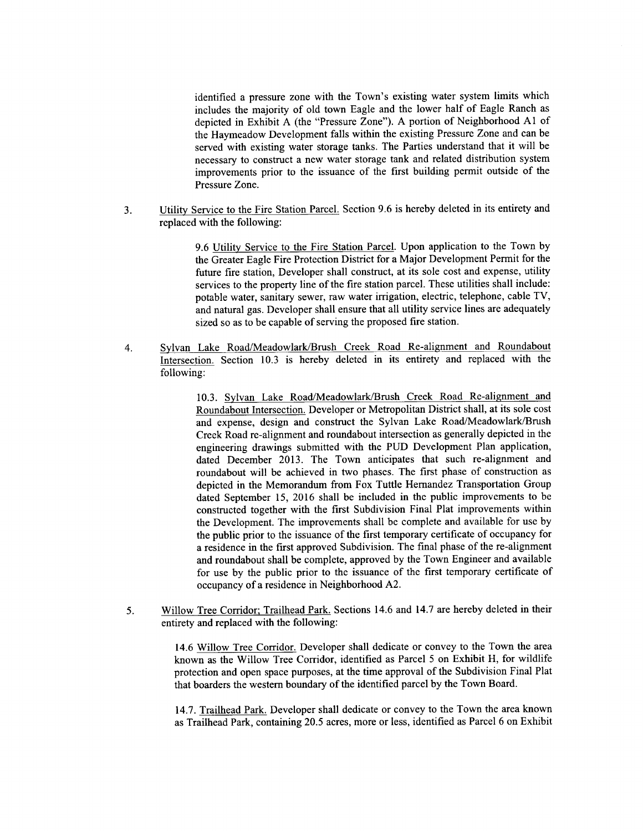identified a pressure zone with the Town's existing water system limits which includes the majority of old town Eagle and the lower half of Eagle Ranch as depicted in Exhibit A (the "Pressure Zone"). A portion of Neighborhood A1 of the Haymeadow Development falls within the existing Pressure Zone and can be served with existing water storage tanks. The Parties understand that it will be necessary to construct a new water storage tank and related distribution system improvements prior to the issuance of the first building permit outside of the Pressure Zone.

3. Utility Service to the Fire Station Parcel. Section 9.6 is hereby deleted in its entirety and replaced with the following:

> 9.6 Utility Service to the Fire Station Parcel. Upon application to the Town by the Greater Eagle Fire Protection District for a Major Development Permit for the future fire station, Developer shall construct, at its sole cost and expense, utility services to the property line of the fire station parcel. These utilities shall include: potable water, sanitary sewer, raw water irrigation, electric, telephone, cable TV, and natural gas. Developer shall ensure that all utility service lines are adequately sized so as to be capable of serving the proposed fire station.

4. Sylvan Lake Road/Meadowlark/Brush Creek Road Re-alignment and Roundabout Intersection. Section 10.3 is hereby deleted in its entirety and replaced with the following:

> 10.3. Sylvan Lake Road/Meadowlark/Brush Creek Road Re-alignment and Roundabout Intersection. Developer or Metropolitan District shall, at its sole cost and expense, design and construct the Sylvan Lake Road/Meadowlark/Brush Creek Road re -alignment and roundabout intersection as generally depicted in the engineering drawings submitted with the PUD Development Plan application, dated December 2013. The Town anticipates that such re -alignment and roundabout will be achieved in two phases. The first phase of construction as depicted in the Memorandum from Fox Tuttle Hernandez Transportation Group dated September 15, 2016 shall be included in the public improvements to be constructed together with the first Subdivision Final Plat improvements within the Development. The improvements shall be complete and available for use by the public prior to the issuance of the first temporary certificate of occupancy for <sup>a</sup> residence in the first approved Subdivision. The final phase of the re -alignment and roundabout shall be complete, approved by the Town Engineer and available for use by the public prior to the issuance of the first temporary certificate of occupancy of <sup>a</sup> residence in Neighborhood A2.

5. Willow Tree Corridor; Trailhead Park. Sections 14.6 and 14.7 are hereby deleted in their entirety and replaced with the following:

> 14.6 Willow Tree Corridor. Developer shall dedicate or convey to the Town the area known as the Willow Tree Corridor, identified as Parcel <sup>5</sup> on Exhibit H, for wildlife protection and open space purposes, at the time approval of the Subdivision Final Plat that boarders the western boundary of the identified parcel by the Town Board.

> 14.7. Trailhead Park. Developer shall dedicate or convey to the Town the area known as Trailhead Park, containing 20.5 acres, more or less, identified as Parcel 6 on Exhibit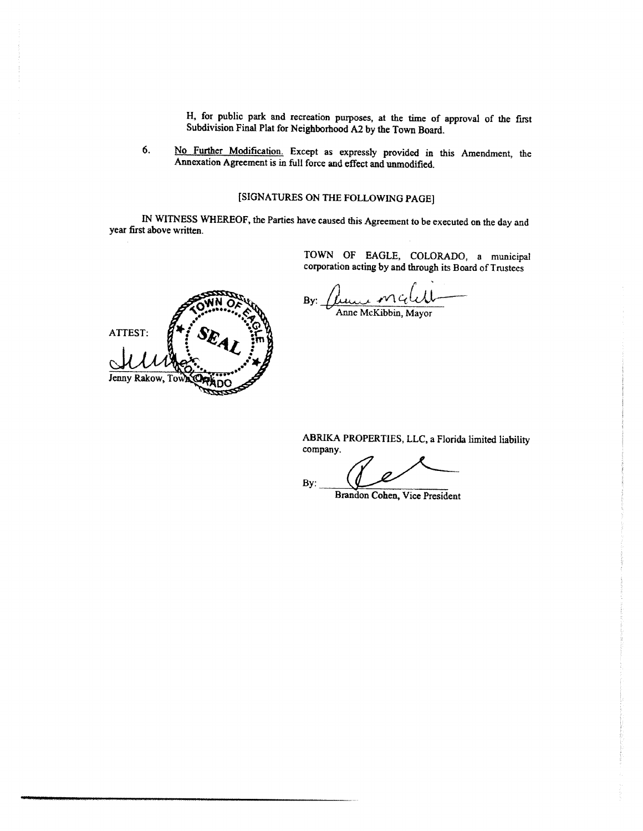H, for public park and recreation purposes, at the time of approval of the first Subdivision Final Plat for Neighborhood A2 by the Town Board.

6. No Further Modification. Except as expressly provided in this Amendment, the Annexation Agreement is in full force and effect and unmodified.

# SIGNATURES ON THE FOLLOWING PAGE]

IN WITNESS WHEREOF, the Parties have caused this Agreement to be executed on the day and year first above written.

> TOWN OF EAGLE, COLORADO, <sup>a</sup> municipal corporation acting by and through its Board of Trustees

By:

ATTEST:

Jenny Rakow, To

Anne McKibbin, Mayor

ABRIKA PROPERTIES, LLC, a Florida limited liability company.

By:

Brandon Cohen, Vice President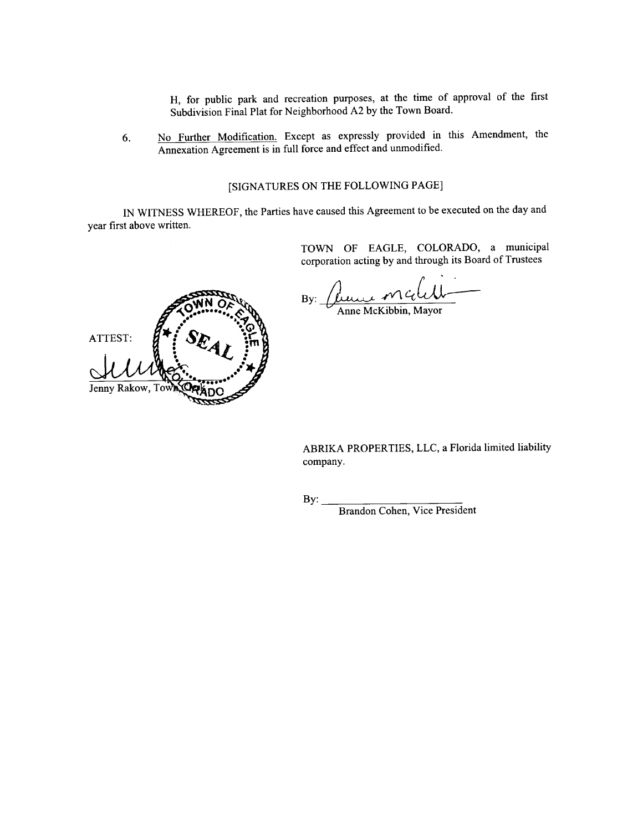H, for public park and recreation purposes, at the time of approval of the first Subdivision Final Plat for Neighborhood A2 by the Town Board.

6. No Further Modification. Except as expressly provided in this Amendment, the Annexation Agreement is in full force and effect and unmodified.

## SIGNATURES ON THE FOLLOWING PAGE]

IN WITNESS WHEREOF, the Parties have caused this Agreement to be executed on the day and year first above written.

> TOWN OF EAGLE, COLORADO, <sup>a</sup> municipal corporation acting by and through its Board of Trustees

By:  $\mu$ une Match Anne McKibbin, Mayor



ABRIKA PROPERTIES, LLC, a Florida limited liability company.

By:

Brandon Cohen, Vice President